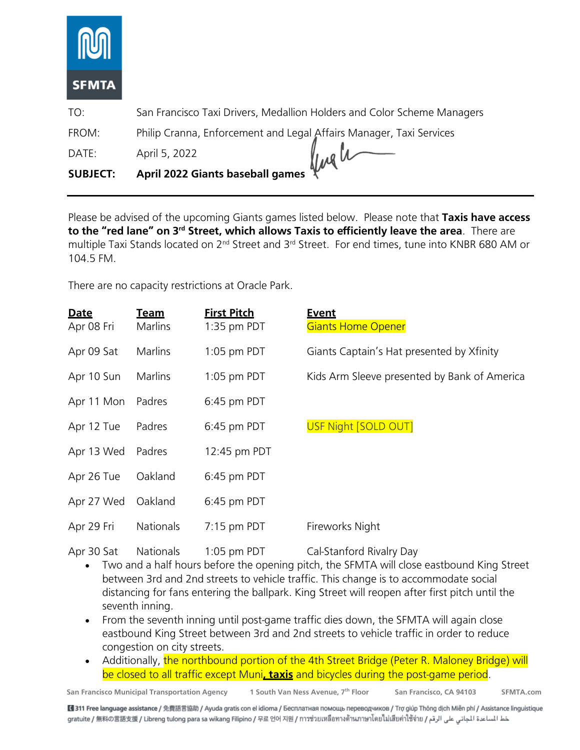

TO: San Francisco Taxi Drivers, Medallion Holders and Color Scheme Managers

FROM: Philip Cranna, Enforcement and Legal Affairs Manager, Taxi Services

DATE: April 5, 2022

Ingh

**SUBJECT: April 2022 Giants baseball games**

Please be advised of the upcoming Giants games listed below. Please note that **Taxis have access to the "red lane" on 3rd Street, which allows Taxis to efficiently leave the area**. There are multiple Taxi Stands located on 2<sup>nd</sup> Street and 3<sup>rd</sup> Street. For end times, tune into KNBR 680 AM or 104.5 FM.

There are no capacity restrictions at Oracle Park.

| <b>Date</b><br>Apr 08 Fri | <u>Team</u><br>Marlins | <b>First Pitch</b><br>$1:35$ pm PDT | <u>Event</u><br><b>Giants Home Opener</b>    |
|---------------------------|------------------------|-------------------------------------|----------------------------------------------|
| Apr 09 Sat                | Marlins                | $1:05$ pm PDT                       | Giants Captain's Hat presented by Xfinity    |
| Apr 10 Sun                | Marlins                | $1:05$ pm PDT                       | Kids Arm Sleeve presented by Bank of America |
| Apr 11 Mon                | Padres                 | 6:45 pm PDT                         |                                              |
| Apr 12 Tue                | Padres                 | 6:45 pm PDT                         | <b>USF Night [SOLD OUT]</b>                  |
| Apr 13 Wed                | Padres                 | 12:45 pm PDT                        |                                              |
| Apr 26 Tue                | Oakland                | 6:45 pm PDT                         |                                              |
| Apr 27 Wed                | Oakland                | 6:45 pm PDT                         |                                              |
| Apr 29 Fri                | <b>Nationals</b>       | $7:15$ pm PDT                       | Fireworks Night                              |

Apr 30 Sat Nationals 1:05 pm PDT Cal-Stanford Rivalry Day

- Two and a half hours before the opening pitch, the SFMTA will close eastbound King Street between 3rd and 2nd streets to vehicle traffic. This change is to accommodate social distancing for fans entering the ballpark. King Street will reopen after first pitch until the seventh inning.
- From the seventh inning until post-game traffic dies down, the SFMTA will again close eastbound King Street between 3rd and 2nd streets to vehicle traffic in order to reduce congestion on city streets.
- Additionally, the northbound portion of the 4th Street Bridge (Peter R. Maloney Bridge) will be closed to all traffic except Muni**, taxis** and bicycles during the post-game period.

**San Francisco Municipal Transportation Agency 1 South Van Ness Avenue, 7th Floor San Francisco, CA 94103 SFMTA.com**

■311 Free language assistance / 免費語言協助 / Ayuda gratis con el idioma / Бесплатная помощь переводчиков / Trợ giúp Thông dịch Miễn phí / Assistance linguistique خط المساعدة الجاني على الرقم / gratuite / 無料の言語支援 / Libreng tulong para sa wikang Filipino / 무료 언어 지원 / การช่วยเหลือทางด้านภาษาโดยไม่เสียค่าใช้จ่าย / عط المساعدة الجاني على الرقم / gratuite / 無料の言語支援 / Libreng tulong par